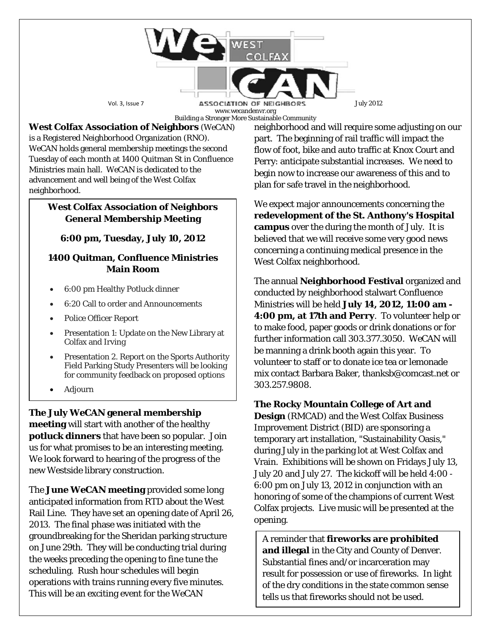

**West Colfax Association of Neighbors** (*WeCAN*) is a Registered Neighborhood Organization (RNO). *WeCAN* holds general membership meetings the second Tuesday of each month at 1400 Quitman St in Confluence Ministries main hall. *WeCAN* is dedicated to the advancement and well being of the West Colfax neighborhood.

### **West Colfax Association of Neighbors General Membership Meeting**

## **6:00 pm, Tuesday, July 10, 2012**

#### **1400 Quitman, Confluence Ministries Main Room**

- 6:00 pm Healthy Potluck dinner
- 6:20 Call to order and Announcements
- Police Officer Report
- Presentation 1: Update on the New Library at Colfax and Irving
- Presentation 2. Report on the Sports Authority Field Parking Study Presenters will be looking for community feedback on proposed options
- Adjourn

**The July** *WeCAN* **general membership meeting** will start with another of the healthy **potluck dinners** that have been so popular. Join us for what promises to be an interesting meeting. We look forward to hearing of the progress of the new Westside library construction.

The **June** *WeCAN* **meeting** provided some long anticipated information from RTD about the West Rail Line. They have set an opening date of April 26, 2013. The final phase was initiated with the groundbreaking for the Sheridan parking structure on June 29th. They will be conducting trial during the weeks preceding the opening to fine tune the scheduling. Rush hour schedules will begin operations with trains running every five minutes. This will be an exciting event for the *WeCAN*

neighborhood and will require some adjusting on our part. The beginning of rail traffic will impact the flow of foot, bike and auto traffic at Knox Court and Perry: anticipate substantial increases. We need to begin now to increase our awareness of this and to plan for safe travel in the neighborhood.

We expect major announcements concerning the **redevelopment of the St. Anthony's Hospital campus** over the during the month of July. It is believed that we will receive some very good news concerning a continuing medical presence in the West Colfax neighborhood.

The annual **Neighborhood Festival** organized and conducted by neighborhood stalwart Confluence Ministries will be held **July 14, 2012, 11:00 am - 4:00 pm, at 17th and Perry**. To volunteer help or to make food, paper goods or drink donations or for further information call 303.377.3050. *WeCAN* will be manning a drink booth again this year. To volunteer to staff or to donate ice tea or lemonade mix contact Barbara Baker, thanksb@comcast.net or 303.257.9808.

# **The Rocky Mountain College of Art and**

**Design** (RMCAD) and the West Colfax Business Improvement District (BID) are sponsoring a temporary art installation, "Sustainability Oasis," during July in the parking lot at West Colfax and Vrain. Exhibitions will be shown on Fridays July 13, July 20 and July 27. The kickoff will be held 4:00 - 6:00 pm on July 13, 2012 in conjunction with an honoring of some of the champions of current West Colfax projects. Live music will be presented at the opening.

A reminder that **fireworks are prohibited and illegal** in the City and County of Denver. Substantial fines and/or incarceration may result for possession or use of fireworks. In light of the dry conditions in the state common sense tells us that fireworks should not be used.